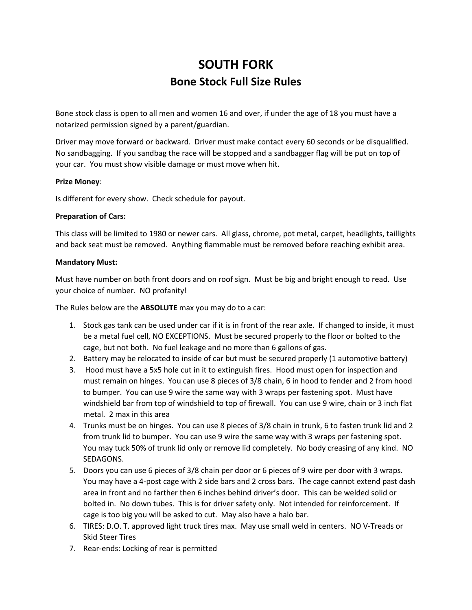## **SOUTH FORK Bone Stock Full Size Rules**

Bone stock class is open to all men and women 16 and over, if under the age of 18 you must have a notarized permission signed by a parent/guardian.

Driver may move forward or backward. Driver must make contact every 60 seconds or be disqualified. No sandbagging. If you sandbag the race will be stopped and a sandbagger flag will be put on top of your car. You must show visible damage or must move when hit.

## **Prize Money**:

Is different for every show. Check schedule for payout.

## **Preparation of Cars:**

This class will be limited to 1980 or newer cars. All glass, chrome, pot metal, carpet, headlights, taillights and back seat must be removed. Anything flammable must be removed before reaching exhibit area.

## **Mandatory Must:**

Must have number on both front doors and on roof sign. Must be big and bright enough to read. Use your choice of number. NO profanity!

The Rules below are the **ABSOLUTE** max you may do to a car:

- 1. Stock gas tank can be used under car if it is in front of the rear axle. If changed to inside, it must be a metal fuel cell, NO EXCEPTIONS. Must be secured properly to the floor or bolted to the cage, but not both. No fuel leakage and no more than 6 gallons of gas.
- 2. Battery may be relocated to inside of car but must be secured properly (1 automotive battery)
- 3. Hood must have a 5x5 hole cut in it to extinguish fires. Hood must open for inspection and must remain on hinges. You can use 8 pieces of 3/8 chain, 6 in hood to fender and 2 from hood to bumper. You can use 9 wire the same way with 3 wraps per fastening spot. Must have windshield bar from top of windshield to top of firewall. You can use 9 wire, chain or 3 inch flat metal. 2 max in this area
- 4. Trunks must be on hinges. You can use 8 pieces of 3/8 chain in trunk, 6 to fasten trunk lid and 2 from trunk lid to bumper. You can use 9 wire the same way with 3 wraps per fastening spot. You may tuck 50% of trunk lid only or remove lid completely. No body creasing of any kind. NO SEDAGONS.
- 5. Doors you can use 6 pieces of 3/8 chain per door or 6 pieces of 9 wire per door with 3 wraps. You may have a 4-post cage with 2 side bars and 2 cross bars. The cage cannot extend past dash area in front and no farther then 6 inches behind driver's door. This can be welded solid or bolted in. No down tubes. This is for driver safety only. Not intended for reinforcement. If cage is too big you will be asked to cut. May also have a halo bar.
- 6. TIRES: D.O. T. approved light truck tires max. May use small weld in centers. NO V-Treads or Skid Steer Tires
- 7. Rear-ends: Locking of rear is permitted